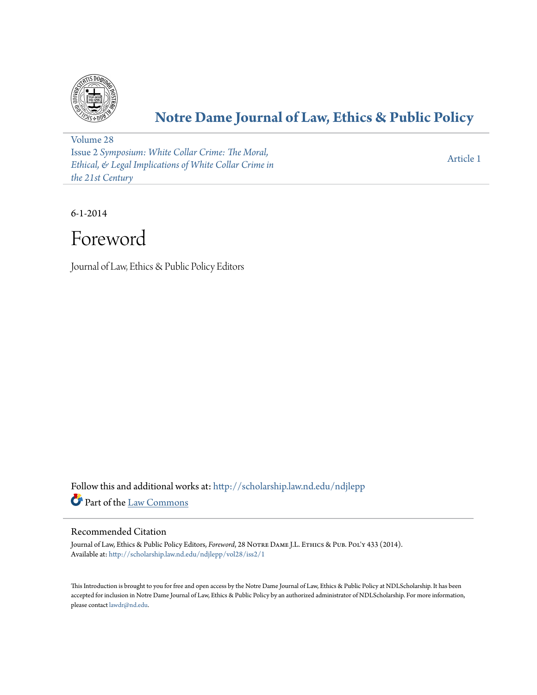

## **[Notre Dame Journal of Law, Ethics & Public Policy](http://scholarship.law.nd.edu/ndjlepp?utm_source=scholarship.law.nd.edu%2Fndjlepp%2Fvol28%2Fiss2%2F1&utm_medium=PDF&utm_campaign=PDFCoverPages)**

[Volume 28](http://scholarship.law.nd.edu/ndjlepp/vol28?utm_source=scholarship.law.nd.edu%2Fndjlepp%2Fvol28%2Fiss2%2F1&utm_medium=PDF&utm_campaign=PDFCoverPages) Issue 2 *[Symposium: White Collar Crime: The Moral,](http://scholarship.law.nd.edu/ndjlepp/vol28/iss2?utm_source=scholarship.law.nd.edu%2Fndjlepp%2Fvol28%2Fiss2%2F1&utm_medium=PDF&utm_campaign=PDFCoverPages) [Ethical, & Legal Implications of White Collar Crime in](http://scholarship.law.nd.edu/ndjlepp/vol28/iss2?utm_source=scholarship.law.nd.edu%2Fndjlepp%2Fvol28%2Fiss2%2F1&utm_medium=PDF&utm_campaign=PDFCoverPages) [the 21st Century](http://scholarship.law.nd.edu/ndjlepp/vol28/iss2?utm_source=scholarship.law.nd.edu%2Fndjlepp%2Fvol28%2Fiss2%2F1&utm_medium=PDF&utm_campaign=PDFCoverPages)*

[Article 1](http://scholarship.law.nd.edu/ndjlepp/vol28/iss2/1?utm_source=scholarship.law.nd.edu%2Fndjlepp%2Fvol28%2Fiss2%2F1&utm_medium=PDF&utm_campaign=PDFCoverPages)

6-1-2014

# Foreword

Journal of Law, Ethics & Public Policy Editors

Follow this and additional works at: [http://scholarship.law.nd.edu/ndjlepp](http://scholarship.law.nd.edu/ndjlepp?utm_source=scholarship.law.nd.edu%2Fndjlepp%2Fvol28%2Fiss2%2F1&utm_medium=PDF&utm_campaign=PDFCoverPages) Part of the [Law Commons](http://network.bepress.com/hgg/discipline/578?utm_source=scholarship.law.nd.edu%2Fndjlepp%2Fvol28%2Fiss2%2F1&utm_medium=PDF&utm_campaign=PDFCoverPages)

#### Recommended Citation

Journal of Law, Ethics & Public Policy Editors, *Foreword*, 28 Notre Dame J.L. Ethics & Pub. Pol'y 433 (2014). Available at: [http://scholarship.law.nd.edu/ndjlepp/vol28/iss2/1](http://scholarship.law.nd.edu/ndjlepp/vol28/iss2/1?utm_source=scholarship.law.nd.edu%2Fndjlepp%2Fvol28%2Fiss2%2F1&utm_medium=PDF&utm_campaign=PDFCoverPages)

This Introduction is brought to you for free and open access by the Notre Dame Journal of Law, Ethics & Public Policy at NDLScholarship. It has been accepted for inclusion in Notre Dame Journal of Law, Ethics & Public Policy by an authorized administrator of NDLScholarship. For more information, please contact [lawdr@nd.edu](mailto:lawdr@nd.edu).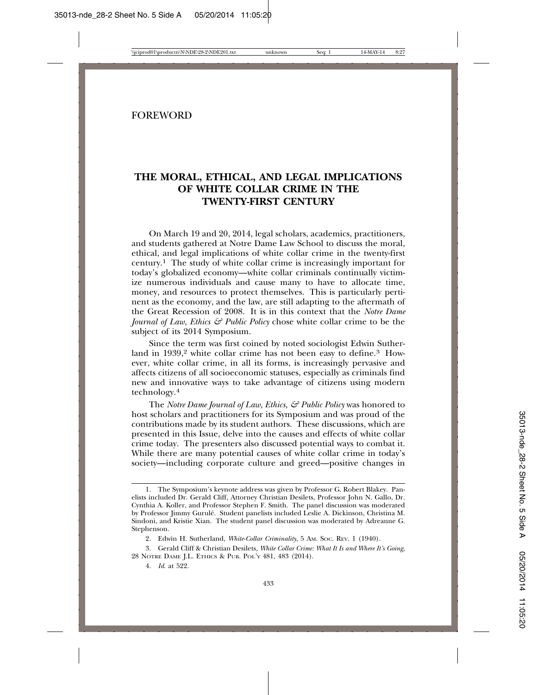#### **FOREWORD**

### **THE MORAL, ETHICAL, AND LEGAL IMPLICATIONS OF WHITE COLLAR CRIME IN THE TWENTY-FIRST CENTURY**

On March 19 and 20, 2014, legal scholars, academics, practitioners, and students gathered at Notre Dame Law School to discuss the moral, ethical, and legal implications of white collar crime in the twenty-first century.1 The study of white collar crime is increasingly important for today's globalized economy—white collar criminals continually victimize numerous individuals and cause many to have to allocate time, money, and resources to protect themselves. This is particularly pertinent as the economy, and the law, are still adapting to the aftermath of the Great Recession of 2008. It is in this context that the *Notre Dame Journal of Law, Ethics & Public Policy chose white collar crime to be the* subject of its 2014 Symposium.

Since the term was first coined by noted sociologist Edwin Sutherland in 1939,<sup>2</sup> white collar crime has not been easy to define.<sup>3</sup> However, white collar crime, in all its forms, is increasingly pervasive and affects citizens of all socioeconomic statuses, especially as criminals find new and innovative ways to take advantage of citizens using modern technology.<sup>4</sup>

The *Notre Dame Journal of Law, Ethics, & Public Policy* was honored to host scholars and practitioners for its Symposium and was proud of the contributions made by its student authors. These discussions, which are presented in this Issue, delve into the causes and effects of white collar crime today. The presenters also discussed potential ways to combat it. While there are many potential causes of white collar crime in today's society—including corporate culture and greed—positive changes in

<sup>1.</sup> The Symposium's keynote address was given by Professor G. Robert Blakey. Panelists included Dr. Gerald Cliff, Attorney Christian Desilets, Professor John N. Gallo, Dr. Cynthia A. Koller, and Professor Stephen F. Smith. The panel discussion was moderated by Professor Jimmy Gurule. Student panelists included Leslie A. Dickinson, Christina M. ´ Sindoni, and Kristie Xian. The student panel discussion was moderated by Adreanne G. Stephenson.

<sup>2.</sup> Edwin H. Sutherland, *White-Collar Criminality*, 5 AM. SOC. REV. 1 (1940).

<sup>3.</sup> Gerald Cliff & Christian Desilets*, White Collar Crime: What It Is and Where It's Going*, 28 NOTRE DAME J.L. ETHICS & PUB. POL'Y 481, 483 (2014).

<sup>4.</sup> *Id*. at 522.